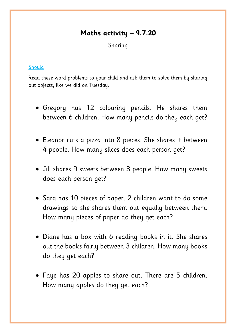## **Maths activity – 9.7.20**

Sharing

## **Should**

Read these word problems to your child and ask them to solve them by sharing out objects, like we did on Tuesday.

- Gregory has 12 colouring pencils. He shares them between 6 children. How many pencils do they each get?
- Eleanor cuts a pizza into 8 pieces. She shares it between 4 people. How many slices does each person get?
- Jill shares 9 sweets between 3 people. How many sweets does each person get?
- Sara has 10 pieces of paper. 2 children want to do some drawings so she shares them out equally between them. How many pieces of paper do they get each?
- Diane has a box with 6 reading books in it. She shares out the books fairly between 3 children. How many books do they get each?
- Faye has 20 apples to share out. There are 5 children. How many apples do they get each?